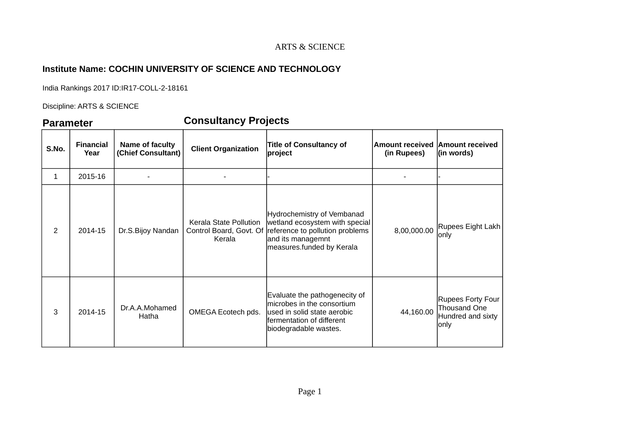### ARTS & SCIENCE

# **Institute Name: COCHIN UNIVERSITY OF SCIENCE AND TECHNOLOGY**

India Rankings 2017 ID:IR17-COLL-2-18161

Discipline: ARTS & SCIENCE

# **Parameter Consultancy Projects**

| S.No.          | <b>Financial</b><br>Year | Name of faculty<br>(Chief Consultant) | <b>Client Organization</b>       | <b>Title of Consultancy of</b><br>project                                                                                                                                 | Amount received<br>(in Rupees) | <b>Amount received</b><br>(in words)                                         |
|----------------|--------------------------|---------------------------------------|----------------------------------|---------------------------------------------------------------------------------------------------------------------------------------------------------------------------|--------------------------------|------------------------------------------------------------------------------|
| 1              | 2015-16                  |                                       |                                  |                                                                                                                                                                           |                                |                                                                              |
| $\overline{2}$ | 2014-15                  | Dr.S.Bijoy Nandan                     | Kerala State Pollution<br>Kerala | Hydrochemistry of Vembanad<br>wetland ecosystem with special<br>Control Board, Govt. Of reference to pollution problems<br>and its managemnt<br>measures.funded by Kerala | 8,00,000.00                    | Rupees Eight Lakh<br>only                                                    |
| 3              | 2014-15                  | Dr.A.A.Mohamed<br>Hatha               | OMEGA Ecotech pds.               | Evaluate the pathogenecity of<br>microbes in the consortium<br>used in solid state aerobic<br>fermentation of different<br>biodegradable wastes.                          | 44,160.00                      | <b>Rupees Forty Four</b><br><b>Thousand One</b><br>Hundred and sixty<br>only |